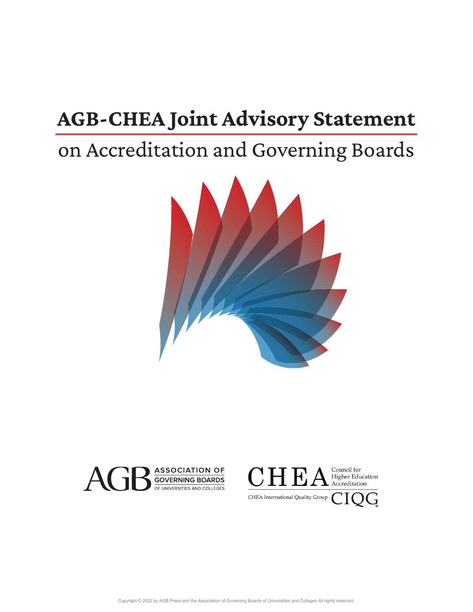## **AGB-CHEA Joint Advisory Statement**

## on Accreditation and Governing Boards





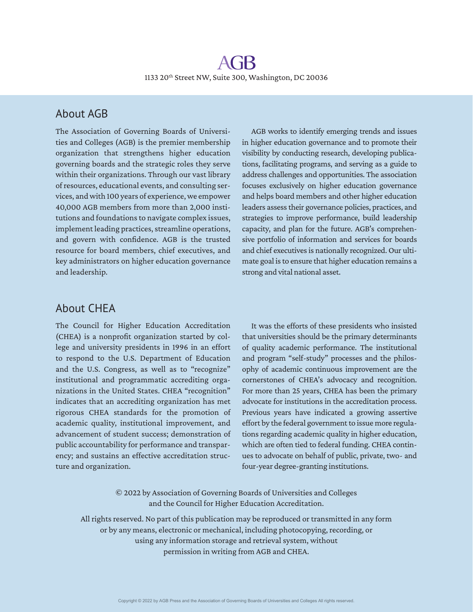#### About AGB

The Association of Governing Boards of Universities and Colleges (AGB) is the premier membership organization that strengthens higher education governing boards and the strategic roles they serve within their organizations. Through our vast library of resources, educational events, and consulting services, and with 100 years of experience, we empower 40,000 AGB members from more than 2,000 institutions and foundations to navigate complex issues, implement leading practices, streamline operations, and govern with confidence. AGB is the trusted resource for board members, chief executives, and key administrators on higher education governance and leadership.

AGB works to identify emerging trends and issues in higher education governance and to promote their visibility by conducting research, developing publications, facilitating programs, and serving as a guide to address challenges and opportunities. The association focuses exclusively on higher education governance and helps board members and other higher education leaders assess their governance policies, practices, and strategies to improve performance, build leadership capacity, and plan for the future. AGB's comprehensive portfolio of information and services for boards and chief executives is nationally recognized. Our ultimate goal is to ensure that higher education remains a strong and vital national asset.

#### About CHEA

The Council for Higher Education Accreditation (CHEA) is a nonprofit organization started by college and university presidents in 1996 in an effort to respond to the U.S. Department of Education and the U.S. Congress, as well as to "recognize" institutional and programmatic accrediting organizations in the United States. CHEA "recognition" indicates that an accrediting organization has met rigorous CHEA standards for the promotion of academic quality, institutional improvement, and advancement of student success; demonstration of public accountability for performance and transparency; and sustains an effective accreditation structure and organization.

It was the efforts of these presidents who insisted that universities should be the primary determinants of quality academic performance. The institutional and program "self-study" processes and the philosophy of academic continuous improvement are the cornerstones of CHEA's advocacy and recognition. For more than 25 years, CHEA has been the primary advocate for institutions in the accreditation process. Previous years have indicated a growing assertive effort by the federal government to issue more regulations regarding academic quality in higher education, which are often tied to federal funding. CHEA continues to advocate on behalf of public, private, two- and four-year degree-granting institutions.

© 2022 by Association of Governing Boards of Universities and Colleges and the Council for Higher Education Accreditation.

All rights reserved. No part of this publication may be reproduced or transmitted in any form or by any means, electronic or mechanical, including photocopying, recording, or using any information storage and retrieval system, without permission in writing from AGB and CHEA.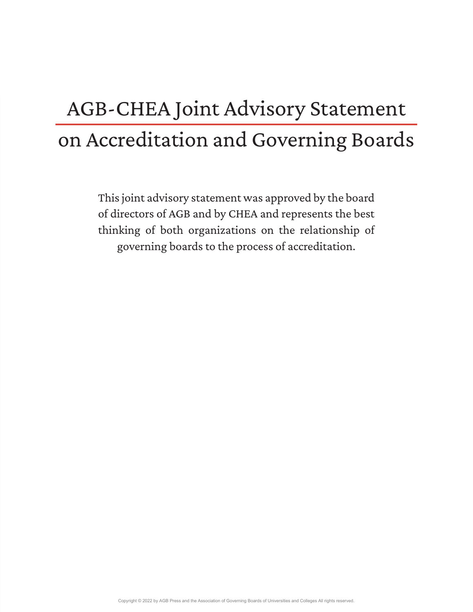# AGB-CHEA Joint Advisory Statement on Accreditation and Governing Boards

This joint advisory statement was approved by the board of directors of AGB and by CHEA and represents the best thinking of both organizations on the relationship of governing boards to the process of accreditation.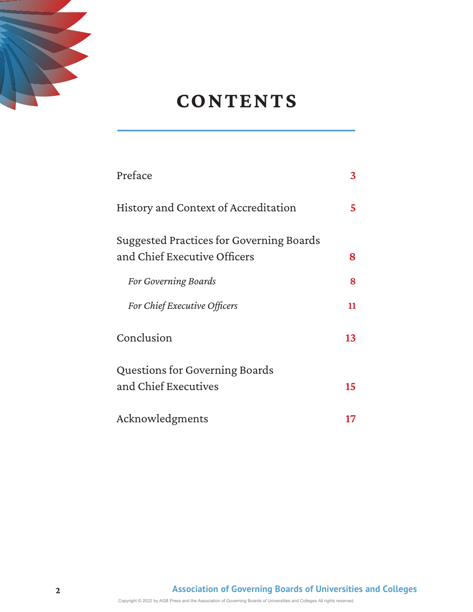

## **CONTENTS**

| Preface                                  | 3  |
|------------------------------------------|----|
| History and Context of Accreditation     | 5  |
| Suggested Practices for Governing Boards |    |
| and Chief Executive Officers             | 8  |
| For Governing Boards                     | 8  |
| For Chief Executive Officers             | 11 |
| Conclusion                               | 13 |
| Questions for Governing Boards           |    |
| and Chief Executives                     | 15 |
| Acknowledgments                          | 17 |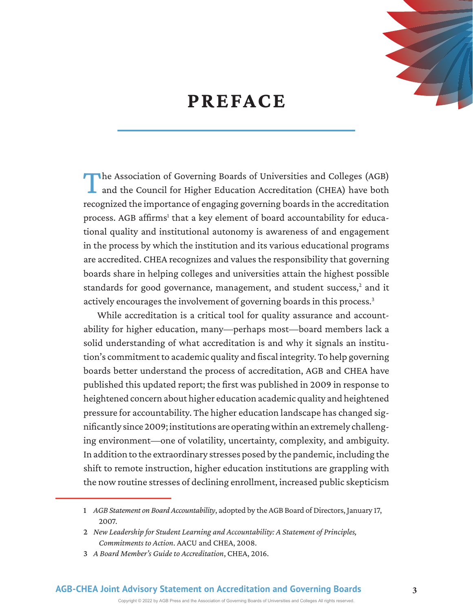

### **PREFACE**

The Association of Governing Boards of Universities and Colleges (AGB) and the Council for Higher Education Accreditation (CHEA) have both recognized the importance of engaging governing boards in the accreditation process. AGB affirms<sup>1</sup> that a key element of board accountability for educational quality and institutional autonomy is awareness of and engagement in the process by which the institution and its various educational programs are accredited. CHEA recognizes and values the responsibility that governing boards share in helping colleges and universities attain the highest possible standards for good governance, management, and student success,<sup>2</sup> and it actively encourages the involvement of governing boards in this process.<sup>3</sup>

While accreditation is a critical tool for quality assurance and accountability for higher education, many—perhaps most—board members lack a solid understanding of what accreditation is and why it signals an institution's commitment to academic quality and fiscal integrity. To help governing boards better understand the process of accreditation, AGB and CHEA have published this updated report; the first was published in 2009 in response to heightened concern about higher education academic quality and heightened pressure for accountability. The higher education landscape has changed significantly since 2009; institutions are operating within an extremely challenging environment—one of volatility, uncertainty, complexity, and ambiguity. In addition to the extraordinary stresses posed by the pandemic, including the shift to remote instruction, higher education institutions are grappling with the now routine stresses of declining enrollment, increased public skepticism

Copyright © 2022 by AGB Press and the Association of Governing Boards of Universities and Colleges All rights reserved.

<sup>1</sup> *AGB Statement on Board Accountability*, adopted by the AGB Board of Directors, January 17, 2007.

<sup>2</sup> *New Leadership for Student Learning and Accountability: A Statement of Principles, Commitments to Action*. AACU and CHEA, 2008.

<sup>3</sup> *A Board Member's Guide to Accreditation*, CHEA, 2016.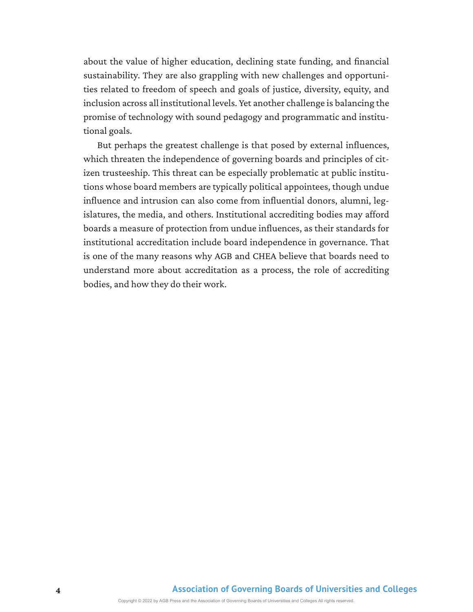about the value of higher education, declining state funding, and financial sustainability. They are also grappling with new challenges and opportunities related to freedom of speech and goals of justice, diversity, equity, and inclusion across all institutional levels. Yet another challenge is balancing the promise of technology with sound pedagogy and programmatic and institutional goals.

But perhaps the greatest challenge is that posed by external influences, which threaten the independence of governing boards and principles of citizen trusteeship. This threat can be especially problematic at public institutions whose board members are typically political appointees, though undue influence and intrusion can also come from influential donors, alumni, legislatures, the media, and others. Institutional accrediting bodies may afford boards a measure of protection from undue influences, as their standards for institutional accreditation include board independence in governance. That is one of the many reasons why AGB and CHEA believe that boards need to understand more about accreditation as a process, the role of accrediting bodies, and how they do their work.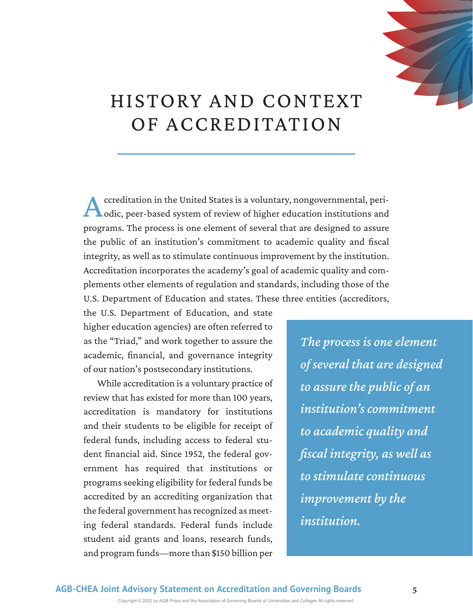

## HISTORY AND CONTEXT OF ACCREDITATION

Accreditation in the United States is a voluntary, nongovernmental, peri-<br>
odic, peer-based system of review of higher education institutions and programs. The process is one element of several that are designed to assure the public of an institution's commitment to academic quality and fiscal integrity, as well as to stimulate continuous improvement by the institution. Accreditation incorporates the academy's goal of academic quality and complements other elements of regulation and standards, including those of the U.S. Department of Education and states. These three entities (accreditors,

the U.S. Department of Education, and state higher education agencies) are often referred to as the "Triad," and work together to assure the academic, financial, and governance integrity of our nation's postsecondary institutions.

While accreditation is a voluntary practice of review that has existed for more than 100 years, accreditation is mandatory for institutions and their students to be eligible for receipt of federal funds, including access to federal student financial aid. Since 1952, the federal government has required that institutions or programs seeking eligibility for federal funds be accredited by an accrediting organization that the federal government has recognized as meeting federal standards. Federal funds include student aid grants and loans, research funds, and program funds—more than \$150 billion per

*The process is one element of several that are designed to assure the public of an institution's commitment to academic quality and fiscal integrity, as well as to stimulate continuous improvement by the institution.* 

Copyright © 2022 by AGB Press and the Association of Governing Boards of Universities and Colleges All rights reserved.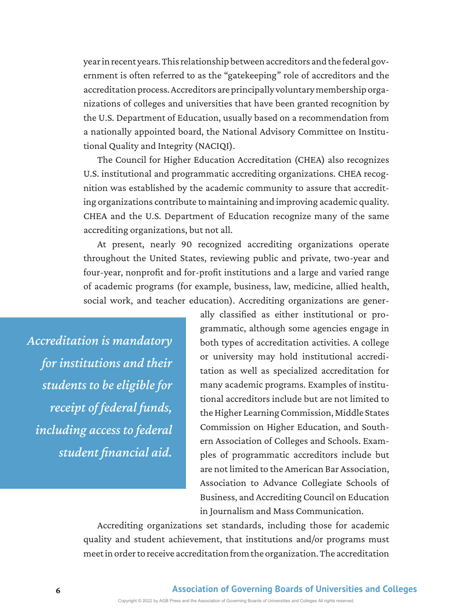year in recent years. This relationship between accreditors and the federal government is often referred to as the "gatekeeping" role of accreditors and the accreditation process. Accreditors are principally voluntary membership organizations of colleges and universities that have been granted recognition by the U.S. Department of Education, usually based on a recommendation from a nationally appointed board, the National Advisory Committee on Institutional Quality and Integrity (NACIQI).

The Council for Higher Education Accreditation (CHEA) also recognizes U.S. institutional and programmatic accrediting organizations. CHEA recognition was established by the academic community to assure that accrediting organizations contribute to maintaining and improving academic quality. CHEA and the U.S. Department of Education recognize many of the same accrediting organizations, but not all.

At present, nearly 90 recognized accrediting organizations operate throughout the United States, reviewing public and private, two-year and four-year, nonprofit and for-profit institutions and a large and varied range of academic programs (for example, business, law, medicine, allied health, social work, and teacher education). Accrediting organizations are gener-

*Accreditation is mandatory for institutions and their students to be eligible for receipt of federal funds, including access to federal student financial aid.* 

ally classified as either institutional or programmatic, although some agencies engage in both types of accreditation activities. A college or university may hold institutional accreditation as well as specialized accreditation for many academic programs. Examples of institutional accreditors include but are not limited to the Higher Learning Commission, Middle States Commission on Higher Education, and Southern Association of Colleges and Schools. Examples of programmatic accreditors include but are not limited to the American Bar Association, Association to Advance Collegiate Schools of Business, and Accrediting Council on Education in Journalism and Mass Communication.

Accrediting organizations set standards, including those for academic quality and student achievement, that institutions and/or programs must meet in order to receive accreditation from the organization. The accreditation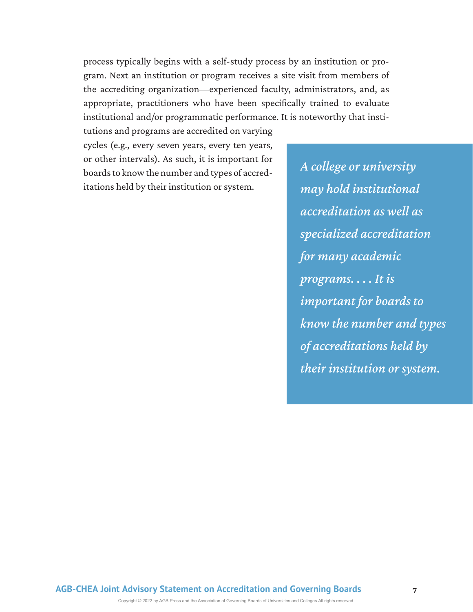process typically begins with a self-study process by an institution or program. Next an institution or program receives a site visit from members of the accrediting organization—experienced faculty, administrators, and, as appropriate, practitioners who have been specifically trained to evaluate institutional and/or programmatic performance. It is noteworthy that insti-

tutions and programs are accredited on varying cycles (e.g., every seven years, every ten years, or other intervals). As such, it is important for boards to know the number and types of accreditations held by their institution or system.

*A college or university may hold institutional accreditation as well as specialized accreditation for many academic programs. . . . It is important for boards to know the number and types of accreditations held by their institution or system.*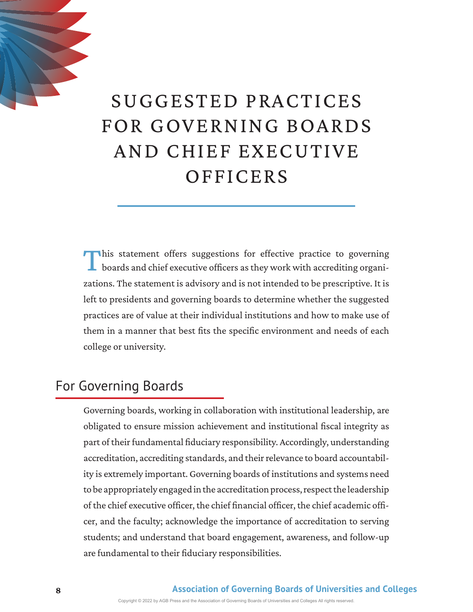

# SUGGESTED PRACTICES FOR GOVERNING BOARDS AND CHIEF EXECUTIVE **OFFICERS**

This statement offers suggestions for effective practice to governing boards and chief executive officers as they work with accrediting organizations. The statement is advisory and is not intended to be prescriptive. It is left to presidents and governing boards to determine whether the suggested practices are of value at their individual institutions and how to make use of them in a manner that best fits the specific environment and needs of each college or university.

#### For Governing Boards

Governing boards, working in collaboration with institutional leadership, are obligated to ensure mission achievement and institutional fiscal integrity as part of their fundamental fiduciary responsibility. Accordingly, understanding accreditation, accrediting standards, and their relevance to board accountability is extremely important. Governing boards of institutions and systems need to be appropriately engaged in the accreditation process, respect the leadership of the chief executive officer, the chief financial officer, the chief academic officer, and the faculty; acknowledge the importance of accreditation to serving students; and understand that board engagement, awareness, and follow-up are fundamental to their fiduciary responsibilities.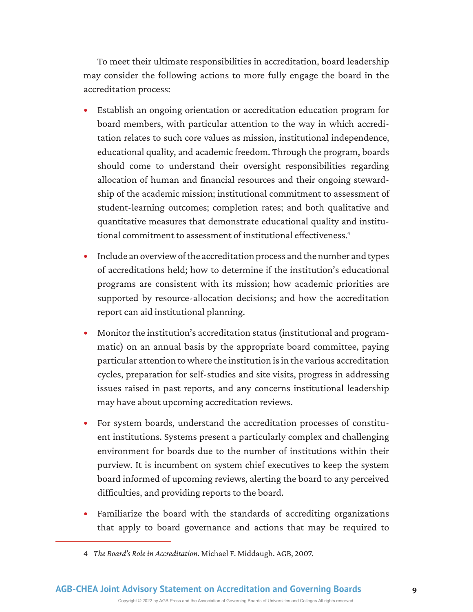To meet their ultimate responsibilities in accreditation, board leadership may consider the following actions to more fully engage the board in the accreditation process:

- Establish an ongoing orientation or accreditation education program for board members, with particular attention to the way in which accreditation relates to such core values as mission, institutional independence, educational quality, and academic freedom. Through the program, boards should come to understand their oversight responsibilities regarding allocation of human and financial resources and their ongoing stewardship of the academic mission; institutional commitment to assessment of student-learning outcomes; completion rates; and both qualitative and quantitative measures that demonstrate educational quality and institutional commitment to assessment of institutional effectiveness.<sup>4</sup>
- Include an overview of the accreditation process and the number and types of accreditations held; how to determine if the institution's educational programs are consistent with its mission; how academic priorities are supported by resource-allocation decisions; and how the accreditation report can aid institutional planning.
- Monitor the institution's accreditation status (institutional and programmatic) on an annual basis by the appropriate board committee, paying particular attention to where the institution is in the various accreditation cycles, preparation for self-studies and site visits, progress in addressing issues raised in past reports, and any concerns institutional leadership may have about upcoming accreditation reviews.
- For system boards, understand the accreditation processes of constituent institutions. Systems present a particularly complex and challenging environment for boards due to the number of institutions within their purview. It is incumbent on system chief executives to keep the system board informed of upcoming reviews, alerting the board to any perceived difficulties, and providing reports to the board.
- Familiarize the board with the standards of accrediting organizations that apply to board governance and actions that may be required to

<sup>4</sup> *The Board's Role in Accreditation*. Michael F. Middaugh. AGB, 2007.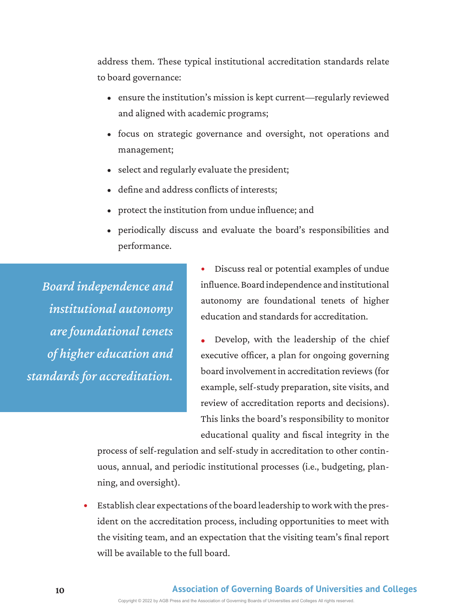address them. These typical institutional accreditation standards relate to board governance:

- ensure the institution's mission is kept current—regularly reviewed and aligned with academic programs;
- focus on strategic governance and oversight, not operations and management;
- select and regularly evaluate the president;
- define and address conflicts of interests;
- protect the institution from undue influence; and
- periodically discuss and evaluate the board's responsibilities and performance.

*Board independence and institutional autonomy are foundational tenets of higher education and standards for accreditation.* 

- Discuss real or potential examples of undue influence. Board independence and institutional autonomy are foundational tenets of higher education and standards for accreditation.
- Develop, with the leadership of the chief executive officer, a plan for ongoing governing board involvement in accreditation reviews (for example, self-study preparation, site visits, and review of accreditation reports and decisions). This links the board's responsibility to monitor educational quality and fiscal integrity in the

process of self-regulation and self-study in accreditation to other continuous, annual, and periodic institutional processes (i.e., budgeting, planning, and oversight).

• Establish clear expectations of the board leadership to work with the president on the accreditation process, including opportunities to meet with the visiting team, and an expectation that the visiting team's final report will be available to the full board.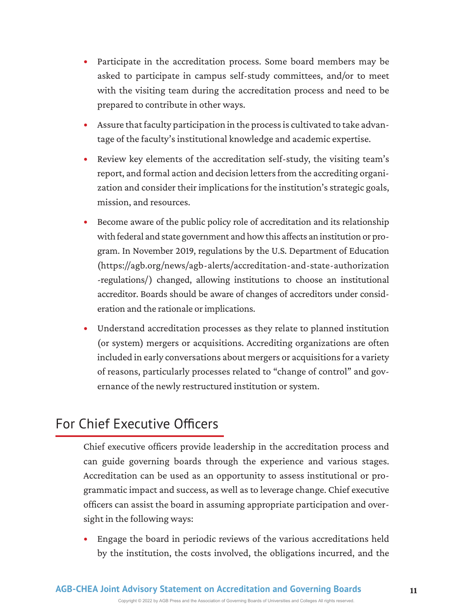- Participate in the accreditation process. Some board members may be asked to participate in campus self-study committees, and/or to meet with the visiting team during the accreditation process and need to be prepared to contribute in other ways.
- Assure that faculty participation in the process is cultivated to take advantage of the faculty's institutional knowledge and academic expertise.
- Review key elements of the accreditation self-study, the visiting team's report, and formal action and decision letters from the accrediting organization and consider their implications for the institution's strategic goals, mission, and resources.
- Become aware of the public policy role of accreditation and its relationship with federal and state government and how this affects an institution or program. In November 2019, regulations by the U.S. Department of Education (https://agb.org/news/agb-alerts/accreditation-and-state-authorization -regulations/) changed, allowing institutions to choose an institutional accreditor. Boards should be aware of changes of accreditors under consideration and the rationale or implications.
- Understand accreditation processes as they relate to planned institution (or system) mergers or acquisitions. Accrediting organizations are often included in early conversations about mergers or acquisitions for a variety of reasons, particularly processes related to "change of control" and governance of the newly restructured institution or system.

#### For Chief Executive Officers

Chief executive officers provide leadership in the accreditation process and can guide governing boards through the experience and various stages. Accreditation can be used as an opportunity to assess institutional or programmatic impact and success, as well as to leverage change. Chief executive officers can assist the board in assuming appropriate participation and oversight in the following ways:

• Engage the board in periodic reviews of the various accreditations held by the institution, the costs involved, the obligations incurred, and the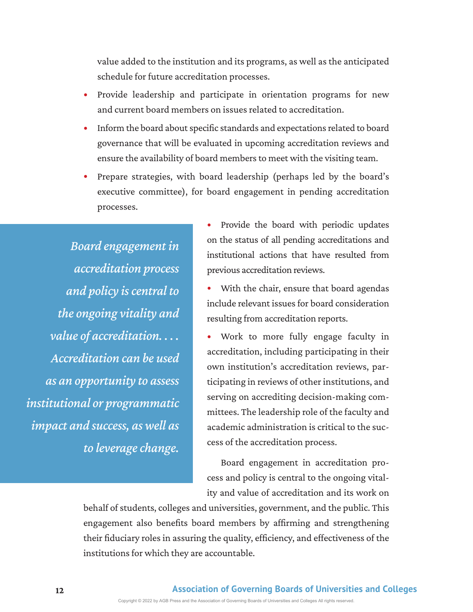value added to the institution and its programs, as well as the anticipated schedule for future accreditation processes.

- Provide leadership and participate in orientation programs for new and current board members on issues related to accreditation.
- Inform the board about specific standards and expectations related to board governance that will be evaluated in upcoming accreditation reviews and ensure the availability of board members to meet with the visiting team.
- Prepare strategies, with board leadership (perhaps led by the board's executive committee), for board engagement in pending accreditation processes.

*Board engagement in accreditation process and policy is central to the ongoing vitality and value of accreditation. . . . Accreditation can be used as an opportunity to assess institutional or programmatic impact and success, as well as to leverage change.* 

• Provide the board with periodic updates on the status of all pending accreditations and institutional actions that have resulted from previous accreditation reviews.

With the chair, ensure that board agendas include relevant issues for board consideration resulting from accreditation reports.

• Work to more fully engage faculty in accreditation, including participating in their own institution's accreditation reviews, participating in reviews of other institutions, and serving on accrediting decision-making committees. The leadership role of the faculty and academic administration is critical to the success of the accreditation process.

Board engagement in accreditation process and policy is central to the ongoing vitality and value of accreditation and its work on

behalf of students, colleges and universities, government, and the public. This engagement also benefits board members by affirming and strengthening their fiduciary roles in assuring the quality, efficiency, and effectiveness of the institutions for which they are accountable.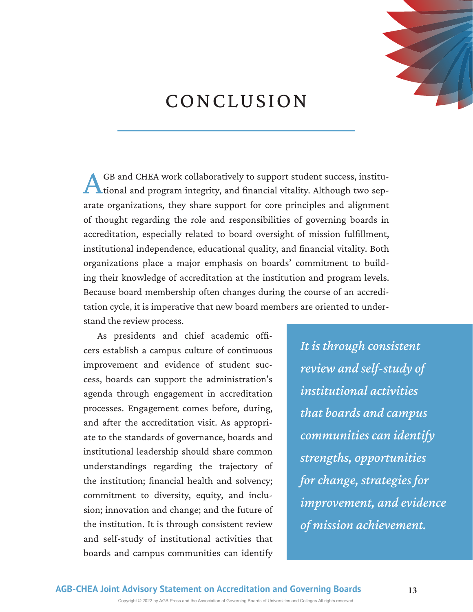

### CONCLUSION

GB and CHEA work collaboratively to support student success, institu**the lines of the state of the state of the state of the state of the state of the state of the state of the state of the state of the state of the state of the state of the state of the state of the state of the state of** arate organizations, they share support for core principles and alignment of thought regarding the role and responsibilities of governing boards in accreditation, especially related to board oversight of mission fulfillment, institutional independence, educational quality, and financial vitality. Both organizations place a major emphasis on boards' commitment to building their knowledge of accreditation at the institution and program levels. Because board membership often changes during the course of an accreditation cycle, it is imperative that new board members are oriented to understand the review process.

As presidents and chief academic officers establish a campus culture of continuous improvement and evidence of student success, boards can support the administration's agenda through engagement in accreditation processes. Engagement comes before, during, and after the accreditation visit. As appropriate to the standards of governance, boards and institutional leadership should share common understandings regarding the trajectory of the institution; financial health and solvency; commitment to diversity, equity, and inclusion; innovation and change; and the future of the institution. It is through consistent review and self-study of institutional activities that boards and campus communities can identify

*It is through consistent review and self-study of institutional activities that boards and campus communities can identify strengths, opportunities for change, strategies for improvement, and evidence of mission achievement.*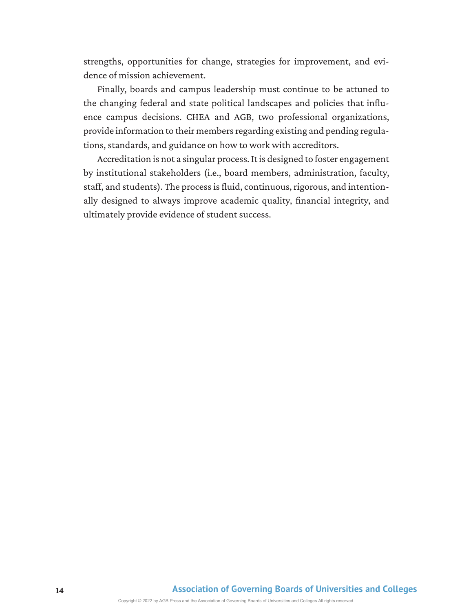strengths, opportunities for change, strategies for improvement, and evidence of mission achievement.

Finally, boards and campus leadership must continue to be attuned to the changing federal and state political landscapes and policies that influence campus decisions. CHEA and AGB, two professional organizations, provide information to their members regarding existing and pending regulations, standards, and guidance on how to work with accreditors.

Accreditation is not a singular process. It is designed to foster engagement by institutional stakeholders (i.e., board members, administration, faculty, staff, and students). The process is fluid, continuous, rigorous, and intentionally designed to always improve academic quality, financial integrity, and ultimately provide evidence of student success.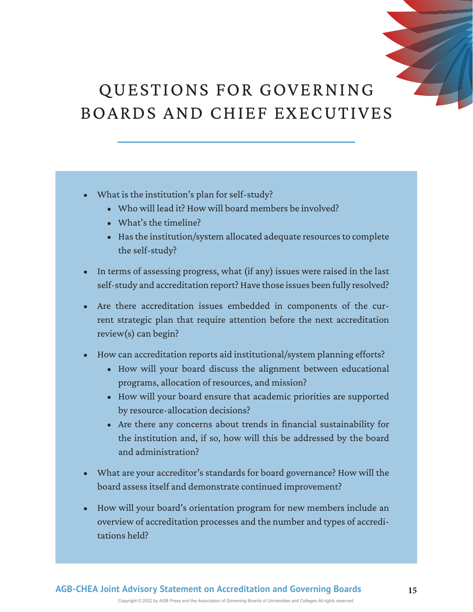### QUESTIONS FOR GOVERNING BOARDS AND CHIEF EXECUTIVES

- What is the institution's plan for self-study?
	- Who will lead it? How will board members be involved?
	- What's the timeline?
	- Has the institution/system allocated adequate resources to complete the self-study?
- In terms of assessing progress, what (if any) issues were raised in the last self- study and accreditation report? Have those issues been fully resolved?
- Are there accreditation issues embedded in components of the current strategic plan that require attention before the next accreditation review(s) can begin?
- How can accreditation reports aid institutional/system planning efforts?
	- How will your board discuss the alignment between educational programs, allocation of resources, and mission?
	- How will your board ensure that academic priorities are supported by resource- allocation decisions?
	- Are there any concerns about trends in financial sustainability for the institution and, if so, how will this be addressed by the board and administration?
- What are your accreditor's standards for board governance? How will the board assess itself and demonstrate continued improvement?
- How will your board's orientation program for new members include an overview of accreditation processes and the number and types of accreditations held?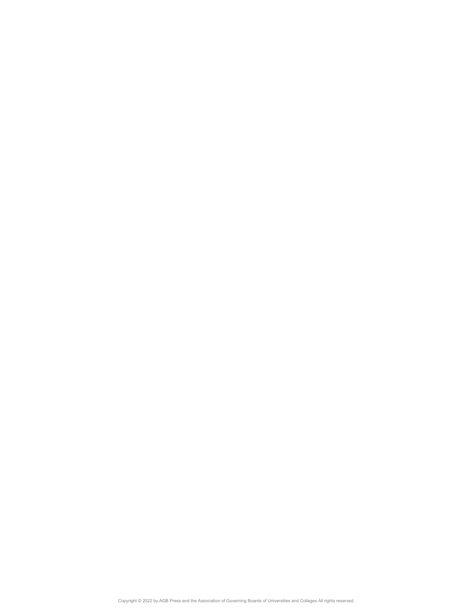Copyright © 2022 by AGB Press and the Association of Governing Boards of Universities and Colleges All rights reserved.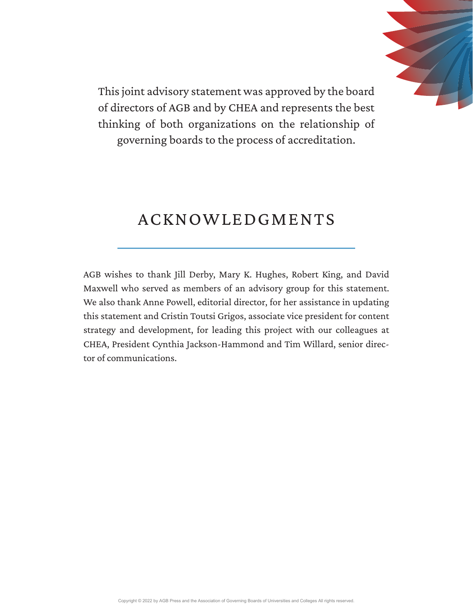

This joint advisory statement was approved by the board of directors of AGB and by CHEA and represents the best thinking of both organizations on the relationship of governing boards to the process of accreditation.

#### ACKNOWLEDGMENTS

AGB wishes to thank Jill Derby, Mary K. Hughes, Robert King, and David Maxwell who served as members of an advisory group for this statement. We also thank Anne Powell, editorial director, for her assistance in updating this statement and Cristin Toutsi Grigos, associate vice president for content strategy and development, for leading this project with our colleagues at CHEA, President Cynthia Jackson-Hammond and Tim Willard, senior director of communications.